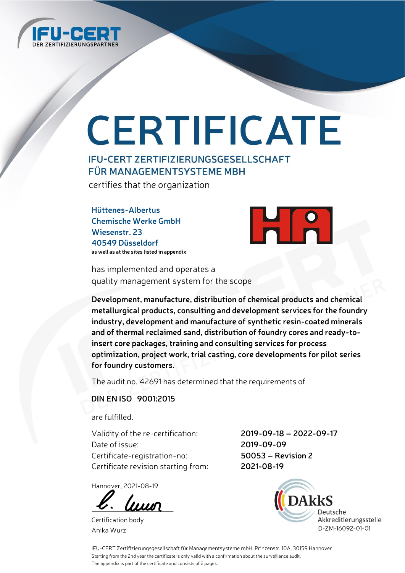

# CERTIFICATE

### **IFU-CERT ZERTIFIZIERUNGSGESELLSCHAFT FÜR MANAGEMENTSYSTEME MBH**

certifies that the organization

**Hüttenes-Albertus Chemische Werke GmbH Wiesenstr. 23 40549 Düsseldorf as well as at the sites listed in appendix**



has implemented and operates a quality management system for the scope

**Development, manufacture, distribution of chemical products and chemical metallurgical products, consulting and development services for the foundry industry, development and manufacture of synthetic resin-coated minerals and of thermal reclaimed sand, distribution of foundry cores and ready-toinsert core packages, training and consulting services for process optimization, project work, trial casting, core developments for pilot series for foundry customers.**

The audit no. 42691 has determined that the requirements of

#### **DIN EN ISO 9001:2015**

are fulfilled.

Validity of the re-certification: **2019-09-18 – 2022-09-17** Date of issue: **2019-09-09** Certificate-registration-no: **50053 – Revision 2** Certificate revision starting from: **2021-08-19**

Hannover, 2021-08-19

luun

Certification body Anika Wurz



IFU-CERT Zertifizierungsgesellschaft für Managementsysteme mbH, Prinzenstr. 10A, 30159 Hannover Starting from the 2nd year the certificate is only valid with a confirmation about the surveillance audit. The appendix is part of the certificate and consists of 2 pages.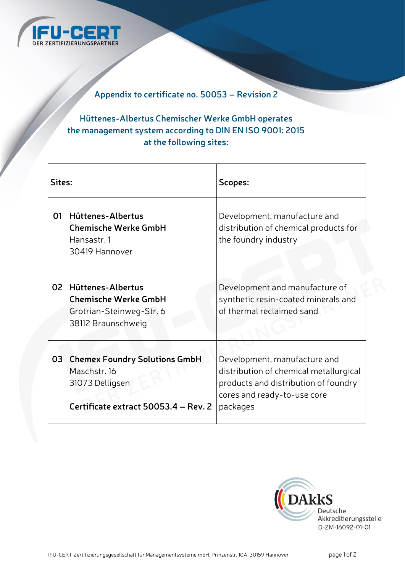

### **Appendix to certificate no. 50053 – Revision 2**

### **Hüttenes-Albertus Chemischer Werke GmbH operates the management system according to DIN EN ISO 9001: 2015 at the following sites:**

| Sites: |                                                                                                                 | Scopes:                                                                                                                                                   |
|--------|-----------------------------------------------------------------------------------------------------------------|-----------------------------------------------------------------------------------------------------------------------------------------------------------|
| 01     | Hüttenes-Albertus<br><b>Chemische Werke GmbH</b><br>Hansastr. 1<br>30419 Hannover                               | Development, manufacture and<br>distribution of chemical products for<br>the foundry industry                                                             |
| 02     | Hüttenes-Albertus<br><b>Chemische Werke GmbH</b><br>Grotrian-Steinweg-Str. 6<br>38112 Braunschweig              | Development and manufacture of<br>synthetic resin-coated minerals and<br>of thermal reclaimed sand                                                        |
| 03     | <b>Chemex Foundry Solutions GmbH</b><br>Maschstr. 16<br>31073 Delligsen<br>Certificate extract 50053.4 - Rev. 2 | Development, manufacture and<br>distribution of chemical metallurgical<br>products and distribution of foundry<br>cores and ready-to-use core<br>packages |